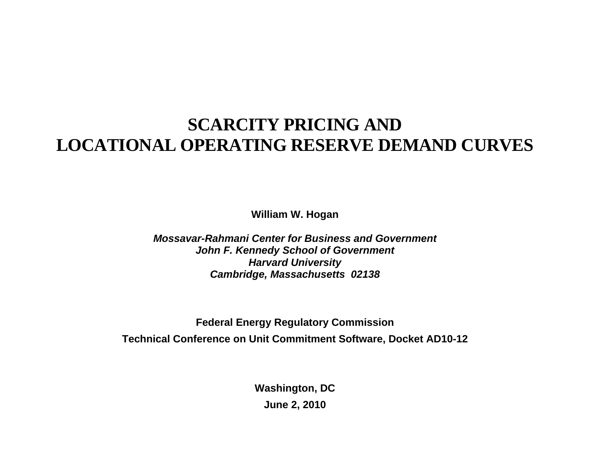# **SCARCITY PRICING AND LOCATIONAL OPERATING RESERVE DEMAND CURVES**

**William W. Hogan** 

*Mossavar-Rahmani Center for Business and Government John F. Kennedy School of Government Harvard University Cambridge, Massachusetts 02138*

**Federal Energy Regulatory Commission Technical Conference on Unit Commitment Software, Docket AD10-12** 

> **Washington, DC June 2, 2010**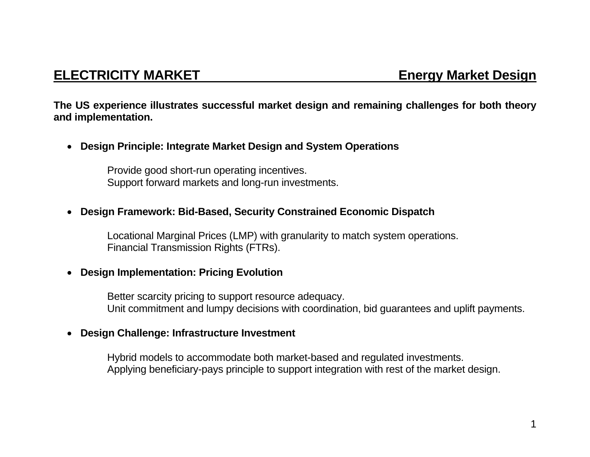## **ELECTRICITY MARKET Energy Market Design**

**The US experience illustrates successful market design and remaining challenges for both theory and implementation.** 

• **Design Principle: Integrate Market Design and System Operations** 

Provide good short-run operating incentives. Support forward markets and long-run investments.

### • **Design Framework: Bid-Based, Security Constrained Economic Dispatch**

Locational Marginal Prices (LMP) with granularity to match system operations. Financial Transmission Rights (FTRs).

### • **Design Implementation: Pricing Evolution**

Better scarcity pricing to support resource adequacy. Unit commitment and lumpy decisions with coordination, bid guarantees and uplift payments.

### • **Design Challenge: Infrastructure Investment**

Hybrid models to accommodate both market-based and regulated investments. Applying beneficiary-pays principle to support integration with rest of the market design.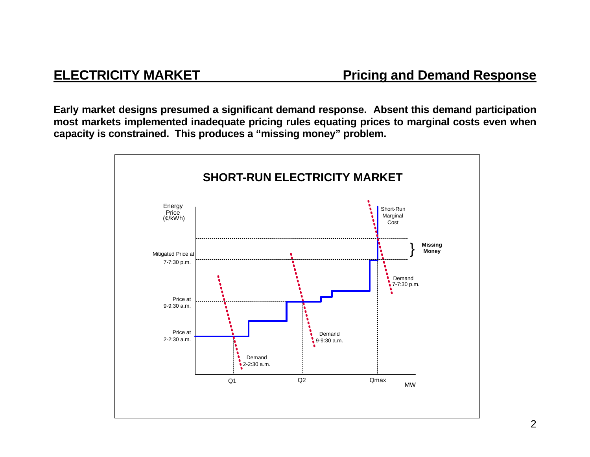**Early market designs presumed a significant demand response. Absent this demand participation most markets implemented inadequate pricing rules equating prices to marginal costs even when capacity is constrained. This produces a "missing money" problem.** 

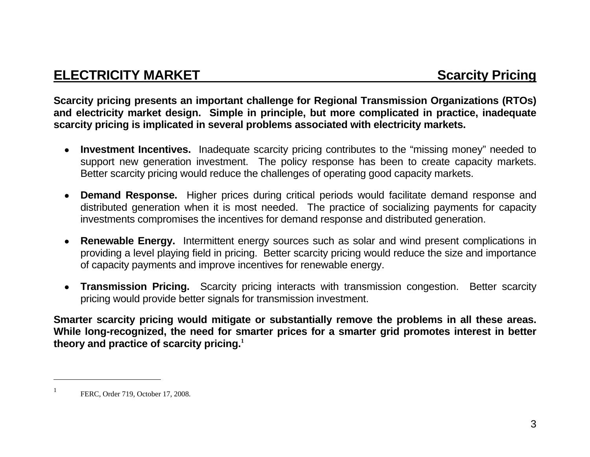## **ELECTRICITY MARKET SCARGISTIC SCARGISTS AND SCARGISTS SCARGISTS**

**Scarcity pricing presents an important challenge for Regional Transmission Organizations (RTOs) and electricity market design. Simple in principle, but more complicated in practice, inadequate scarcity pricing is implicated in several problems associated with electricity markets.** 

- • **Investment Incentives.** Inadequate scarcity pricing contributes to the "missing money" needed to support new generation investment. The policy response has been to create capacity markets. Better scarcity pricing would reduce the challenges of operating good capacity markets.
- • **Demand Response.** Higher prices during critical periods would facilitate demand response and distributed generation when it is most needed. The practice of socializing payments for capacity investments compromises the incentives for demand response and distributed generation.
- • **Renewable Energy.** Intermittent energy sources such as solar and wind present complications in providing a level playing field in pricing. Better scarcity pricing would reduce the size and importance of capacity payments and improve incentives for renewable energy.
- • **Transmission Pricing.** Scarcity pricing interacts with transmission congestion. Better scarcity pricing would provide better signals for transmission investment.

**Smarter scarcity pricing would mitigate or substantially remove the problems in all these areas. While long-recognized, the need for smarter prices for a smarter grid promotes interest in better theory and practice of scarcity pricing.<sup>1</sup>**

FERC, Order 719, October 17, 2008.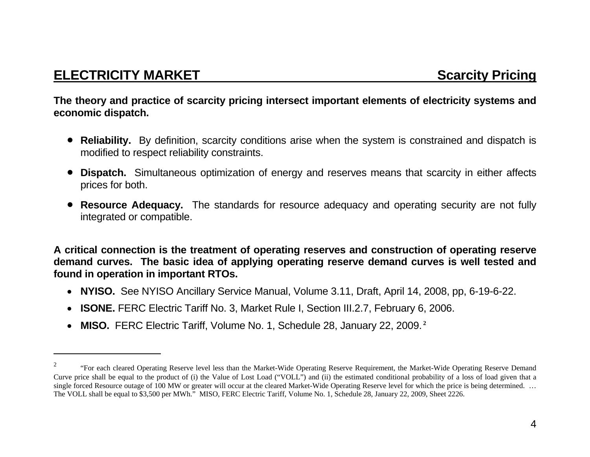**The theory and practice of scarcity pricing intersect important elements of electricity systems and economic dispatch.** 

- **Reliability.** By definition, scarcity conditions arise when the system is constrained and dispatch is modified to respect reliability constraints.
- • **Dispatch.** Simultaneous optimization of energy and reserves means that scarcity in either affects prices for both.
- **Resource Adequacy.** The standards for resource adequacy and operating security are not fully integrated or compatible.

**A critical connection is the treatment of operating reserves and construction of operating reserve demand curves. The basic idea of applying operating reserve demand curves is well tested and found in operation in important RTOs.** 

- $\bullet$ **NYISO.** See NYISO Ancillary Service Manual, Volume 3.11, Draft, April 14, 2008, pp, 6-19-6-22.
- $\bullet$ **ISONE.** FERC Electric Tariff No. 3, Market Rule I, Section III.2.7, February 6, 2006.
- $\bullet$ **MISO.** FERC Electric Tariff, Volume No. 1, Schedule 28, January 22, 2009.**<sup>2</sup>**

<sup>&</sup>lt;sup>2</sup> "For each cleared Operating Reserve level less than the Market-Wide Operating Reserve Requirement, the Market-Wide Operating Reserve Demand Curve price shall be equal to the product of (i) the Value of Lost Load ("VOLL") and (ii) the estimated conditional probability of a loss of load given that a single forced Resource outage of 100 MW or greater will occur at the cleared Market-Wide Operating Reserve level for which the price is being determined. ... The VOLL shall be equal to \$3,500 per MWh." MISO, FERC Electric Tariff, Volume No. 1, Schedule 28, January 22, 2009, Sheet 2226.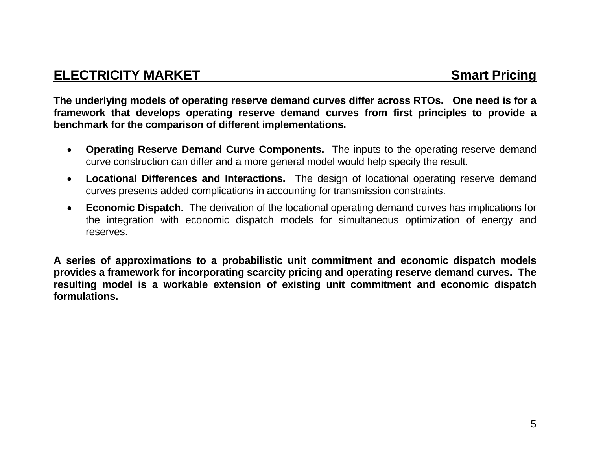## **ELECTRICITY MARKET** Smart Pricing

**The underlying models of operating reserve demand curves differ across RTOs. One need is for a framework that develops operating reserve demand curves from first principles to provide a benchmark for the comparison of different implementations.** 

- $\bullet$  **Operating Reserve Demand Curve Components.** The inputs to the operating reserve demand curve construction can differ and a more general model would help specify the result.
- $\bullet$  **Locational Differences and Interactions.** The design of locational operating reserve demand curves presents added complications in accounting for transmission constraints.
- $\bullet$  **Economic Dispatch.** The derivation of the locational operating demand curves has implications for the integration with economic dispatch models for simultaneous optimization of energy and reserves.

**A series of approximations to a probabilistic unit commitment and economic dispatch models provides a framework for incorporating scarcity pricing and operating reserve demand curves. The resulting model is a workable extension of existing unit commitment and economic dispatch formulations.**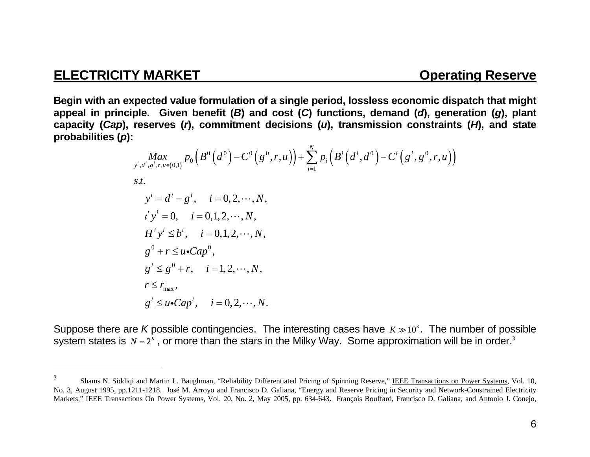**Begin with an expected value formulation of a single period, lossless economic dispatch that might**  appeal in principle. Given benefit (*B*) and cost (*C*) functions, demand (*d*), generation (*g*), plant **capacity (***Cap***), reserves (** *<sup>r</sup>***), commitment decisions (** *<sup>u</sup>***), transmission constraints (** *H***), and state probabilities (** *p***):** 

$$
\begin{aligned}\n\underset{\substack{y^i, d^i, g^i, r, u \in (0,1)}}{\text{Max}} & p_0 \left( B^0 \left( d^0 \right) - C^0 \left( g^0, r, u \right) \right) + \sum_{i=1}^N p_i \left( B^i \left( d^i, d^0 \right) - C^i \left( g^i, g^0, r, u \right) \right) \\
\text{s.t.} \\
y^i &= d^i - g^i, \quad i = 0, 2, \dots, N, \\
t^i y^i &= 0, \quad i = 0, 1, 2, \dots, N, \\
H^i y^i & \le b^i, \quad i = 0, 1, 2, \dots, N, \\
g^0 + r & \le u \cdot \text{Cap}^0, \\
g^i & \le g^0 + r, \quad i = 1, 2, \dots, N, \\
r & \le r_{\text{max}}, \\
g^i & \le u \cdot \text{Cap}^i, \quad i = 0, 2, \dots, N.\n\end{aligned}
$$

Suppose there are *K* possible contingencies. The interesting cases have  $\textit{k} \gg$ 10 $^3$ . The number of possible system states is  $\,N=2^{\kappa}$  , or more than the stars in the Milky Way. Some approximation will be in order. $^3$ 

<sup>&</sup>lt;sup>3</sup> Shams N. Siddiqi and Martin L. Baughman, "Reliability Differentiated Pricing of Spinning Reserve," IEEE Transactions on Power Systems, Vol. 10, No. 3, August 1995, pp.1211-1218. José M. Arroyo and Francisco D. Galiana, "Energy and Reserve Pricing in Security and Network-Constrained Electricity Markets," IEEE Transactions On Power Systems, Vol. 20, No. 2, May 2005, pp. 634-643. François Bouffard, Francisco D. Galiana, and Antonio J. Conejo,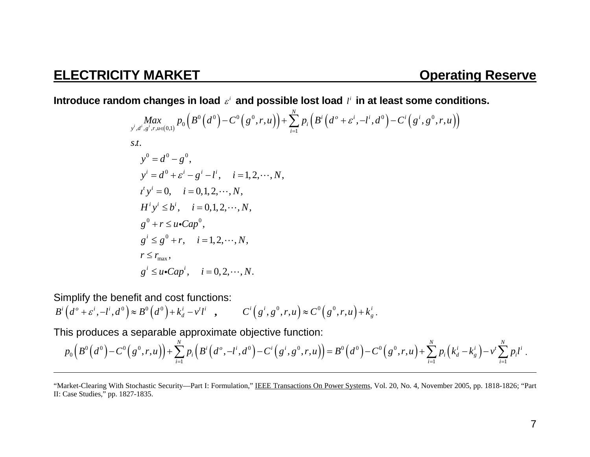Introduce random changes in load  $\varepsilon^i$  and possible lost load  $l^i$  in at least some conditions.

$$
\begin{aligned}\n\max_{y^i, d^i, g^i, r, u \in (0,1)} p_0 \left( B^0 \left( d^0 \right) - C^0 \left( g^0, r, u \right) \right) + \sum_{i=1}^N p_i \left( B^i \left( d^o + \varepsilon^i, -l^i, d^0 \right) - C^i \left( g^i, g^0, r, u \right) \right) \\
\text{s.t.} \\
y^0 &= d^0 - g^0, \\
y^i &= d^0 + \varepsilon^i - g^i - l^i, \quad i = 1, 2, \dots, N, \\
t^i y^i &= 0, \quad i = 0, 1, 2, \dots, N, \\
H^i y^i & \le b^i, \quad i = 0, 1, 2, \dots, N, \\
g^0 + r &\le u \cdot \text{Cap}^0, \\
g^i &\le g^0 + r, \quad i = 1, 2, \dots, N, \\
r & \le r_{\text{max}}, \\
g^i &= u \cdot \text{Cap}^i, \quad i = 0, 2, \dots, N.\n\end{aligned}
$$

Simplify the benefit and cost functions:

$$
Bi(do + \varepsiloni, -li, d0) \approx B0(d0) + kdi - vtli , \qquad Ci(gi, g0, r, u) \approx C0(g0, r, u) + kgi.
$$

This produces a separable approximate objective function:

$$
p_0\Big(B^0\Big(d^0\Big)-C^0\Big(g^0,r,u\Big)\Big)+\sum_{i=1}^N p_i\Big(B^i\Big(d^0,-l^i,d^0\Big)-C^i\Big(g^i,g^0,r,u\Big)\Big)=B^0\Big(d^0\Big)-C^0\Big(g^0,r,u\Big)+\sum_{i=1}^N p_i\Big(k_d^i-k_g^i\Big)-\nu^i\sum_{i=1}^N p_i l^i.
$$

<sup>&</sup>quot;Market-Clearing With Stochastic Security—Part I: Formulation," IEEE Transactions On Power Systems, Vol. 20, No. 4, November 2005, pp. 1818-1826; "Part II: Case Studies," pp. 1827-1835.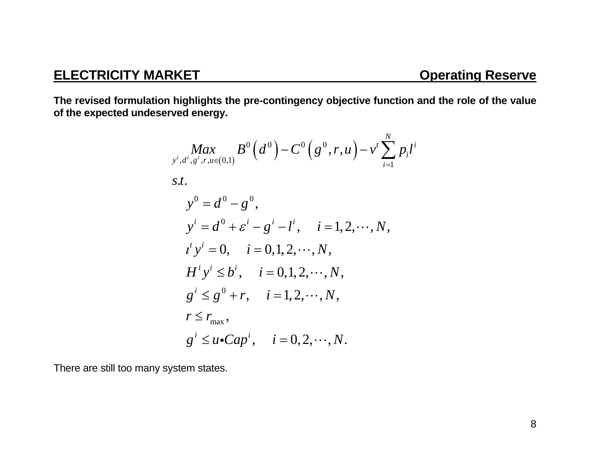**The revised formulation highlights the pre-contingency objective function and the role of the value of the expected undeserved energy.** 

$$
\begin{aligned}\n\max_{y^i, d^i, g^i, r, u \in (0,1)} B^0 \left( d^0 \right) - C^0 \left( g^0, r, u \right) - v^t \sum_{i=1}^N p_i l^i \\
s.t. \\
y^0 &= d^0 - g^0, \\
y^i &= d^0 + \varepsilon^i - g^i - l^i, \quad i = 1, 2, \dots, N, \\
t^t y^i &= 0, \quad i = 0, 1, 2, \dots, N, \\
H^i y^i \le b^i, \quad i = 0, 1, 2, \dots, N, \\
g^i \le g^0 + r, \quad i = 1, 2, \dots, N, \\
r \le r_{\text{max}}, \\
g^i \le u \cdot \text{Cap}^i, \quad i = 0, 2, \dots, N.\n\end{aligned}
$$

There are still too many system states.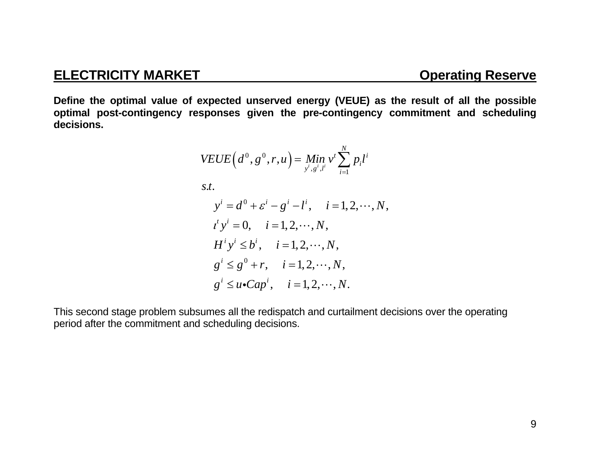**Define the optimal value of expected unserved energy (VEUE) as the result of all the possible optimal post-contingency responses given the pre-contingency commitment and scheduling decisions.** 

$$
VEUE(d^{0}, g^{0}, r, u) = Min \ v^{t} \sum_{j^{i}, g^{i}, l^{i}}^{N} p_{i}l^{i}
$$
  
s.t.  

$$
y^{i} = d^{0} + \varepsilon^{i} - g^{i} - l^{i}, \quad i = 1, 2, \cdots, N,
$$

$$
t^{t} y^{i} = 0, \quad i = 1, 2, \cdots, N,
$$

$$
H^{i} y^{i} \leq b^{i}, \quad i = 1, 2, \cdots, N,
$$

$$
g^{i} \leq g^{0} + r, \quad i = 1, 2, \cdots, N,
$$

$$
g^{i} \leq u \cdot Cap^{i}, \quad i = 1, 2, \cdots, N.
$$

This second stage problem subsumes all the redispatch and curtailment decisions over the operating period after the commitment and scheduling decisions.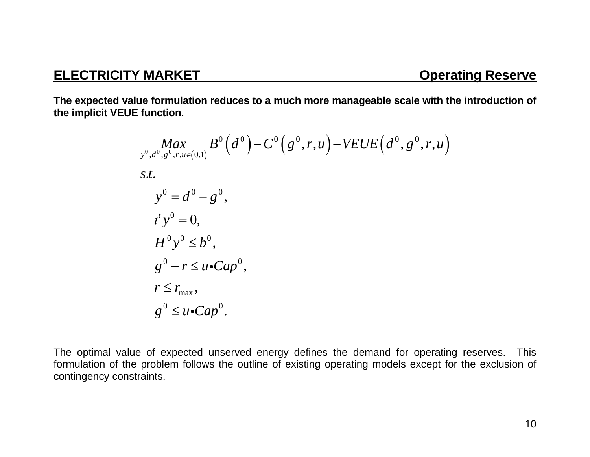**The expected value formulation reduces to a much more manageable scale with the introduction of the implicit VEUE function.** 

$$
\begin{aligned}\n&\underset{y^0, d^0, g^0, r, u \in (0,1)}{\text{Max}} B^0(d^0) - C^0(g^0, r, u) - VEUE(d^0, g^0, r, u) \\
&s.t. \\
&y^0 = d^0 - g^0, \\
&t^t y^0 = 0, \\
&H^0 y^0 \le b^0, \\
&g^0 + r \le u \cdot Cap^0, \\
&r \le r_{\text{max}}, \\
&g^0 \le u \cdot Cap^0.\n\end{aligned}
$$

The optimal value of expected unserved energy defines the demand for operating reserves. This formulation of the problem follows the outline of existing operating models except for the exclusion of contingency constraints.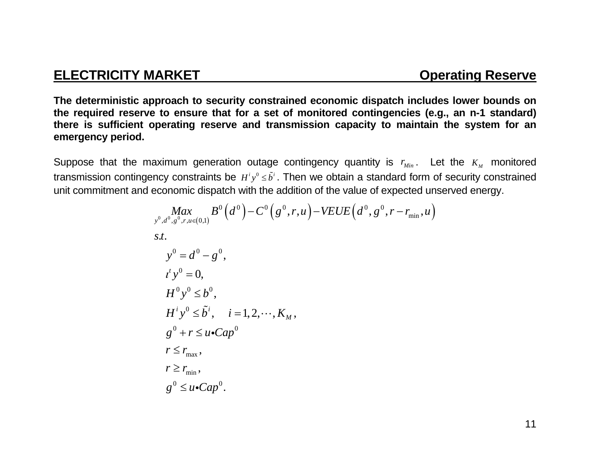**The deterministic approach to security constrained economic dispatch includes lower bounds on the required reserve to ensure that for a set of monitored contingencies (e.g., an n-1 standard) there is sufficient operating reserve and transmission capacity to maintain the system for an emergency period.** 

Suppose that the maximum generation outage contingency quantity is  $r_{\scriptscriptstyle Min}$ . Let the  $K_{\scriptscriptstyle M}$  monitored transmission contingency constraints be  $H^i y^0 \leq \tilde{b}^i$ . Then we obtain a standard form of security constrained unit commitment and economic dispatch with the addition of the value of expected unserved energy.

$$
\begin{aligned}\n\underset{\mathbf{y}^{0}, \mathbf{d}^{0}, \mathbf{g}^{0}, \mathbf{r}, u \in (0,1)}{\operatorname{Max}} B^{0}(d^{0}) - C^{0}(g^{0}, r, u) - VEUE\left(d^{0}, g^{0}, r - r_{\min}, u\right) \\
\text{s.t.} \\
y^{0} &= d^{0} - g^{0}, \\
t^{t} y^{0} &= 0, \\
H^{0} y^{0} & \leq b^{0}, \\
H^{i} y^{0} & \leq \tilde{b}^{i}, \quad i = 1, 2, \cdots, K_{M}, \\
g^{0} + r & \leq u \cdot Cap^{0} \\
r & \leq r_{\max}, \\
r \geq r_{\min}, \\
g^{0} & \leq u \cdot Cap^{0}.\n\end{aligned}
$$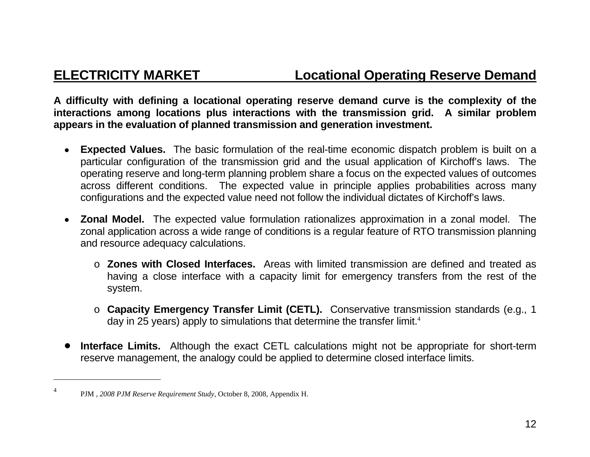**A difficulty with defining a locational operating reserve demand curve is the complexity of the interactions among locations plus interactions with the transmission grid. A similar problem appears in the evaluation of planned transmission and generation investment.** 

- • **Expected Values.** The basic formulation of the real-time economic dispatch problem is built on a particular configuration of the transmission grid and the usual application of Kirchoff's laws. The operating reserve and long-term planning problem share a focus on the expected values of outcomes across different conditions. The expected value in principle applies probabilities across many configurations and the expected value need not follow the individual dictates of Kirchoff's laws.
- • **Zonal Model.** The expected value formulation rationalizes approximation in a zonal model. The zonal application across a wide range of conditions is a regular feature of RTO transmission planning and resource adequacy calculations.
	- o **Zones with Closed Interfaces.** Areas with limited transmission are defined and treated as having a close interface with a capacity limit for emergency transfers from the rest of the system.
	- o **Capacity Emergency Transfer Limit (CETL).** Conservative transmission standards (e.g., 1 day in 25 years) apply to simulations that determine the transfer limit.<sup>4</sup>
- $\bullet$  **Interface Limits.** Although the exact CETL calculations might not be appropriate for short-term reserve management, the analogy could be applied to determine closed interface limits.

<sup>4</sup> PJM , *2008 PJM Reserve Requirement Study*, October 8, 2008, Appendix H.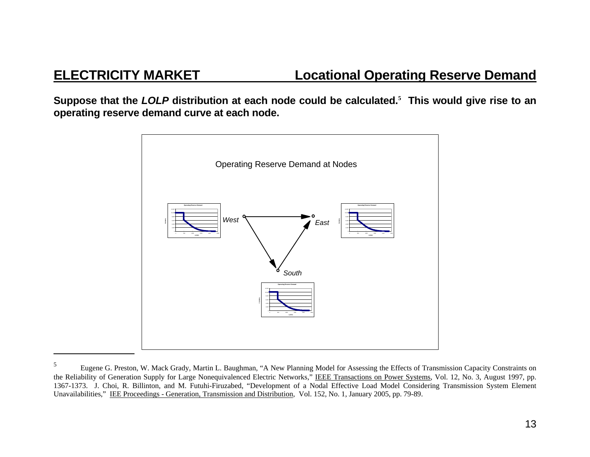**Suppose that the** *LOLP* **distribution at each node could be calculated.<sup>5</sup> This would give rise to an operating reserve demand curve at each node.** 



<sup>&</sup>lt;sup>5</sup> Eugene G. Preston, W. Mack Grady, Martin L. Baughman, "A New Planning Model for Assessing the Effects of Transmission Capacity Constraints on the Reliability of Generation Supply for Large Nonequivalenced Electric Networks," IEEE Transactions on Power Systems, Vol. 12, No. 3, August 1997, pp. 1367-1373. J. Choi, R. Billinton, and M. Futuhi-Firuzabed, "Development of a Nodal Effective Load Model Considering Transmission System Element Unavailabilities," IEE Proceedings - Generation, Transmission and Distribution, Vol. 152, No. 1, January 2005, pp. 79-89.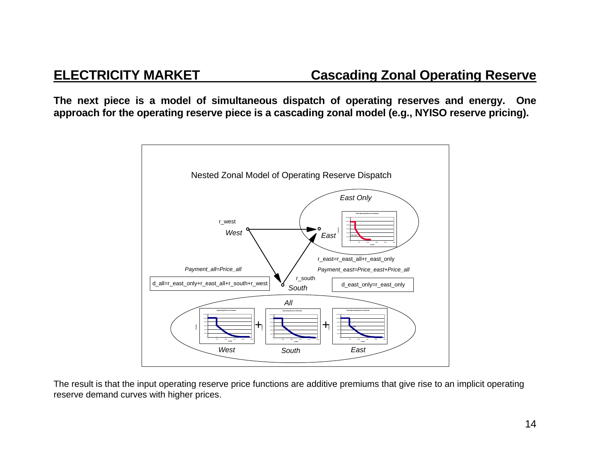## **ELECTRICITY MARKET Cascading Zonal Operating Reserve**

**The next piece is a model of simultaneous dispatch of operating reserves and energy. One approach for the operating reserve piece is a cascading zonal model (e.g., NYISO reserve pricing).** 



The result is that the input operating reserve price functions are additive premiums that give rise to an implicit operating reserve demand curves with higher prices.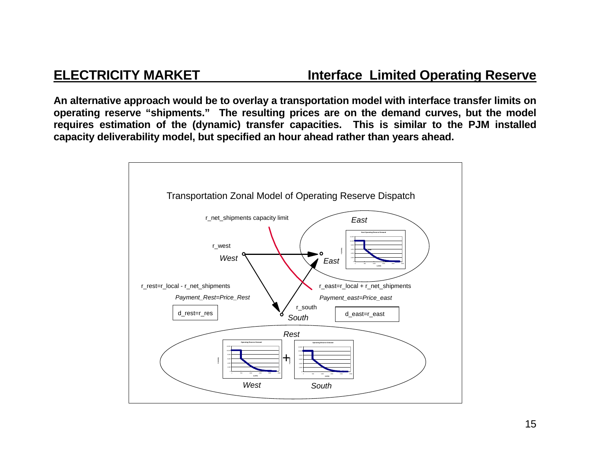## **ELECTRICITY MARKET SERVIFY AND RESERVE Interface Limited Operating Reserve**

**An alternative approach would be to overlay a transportation model with interface transfer limits on operating reserve "shipments." The resulting prices are on the demand curves, but the model requires estimation of the (dynamic) transfer capacities. This is similar to the PJM installed capacity deliverability model, but specified an hour ahead rather than years ahead.** 

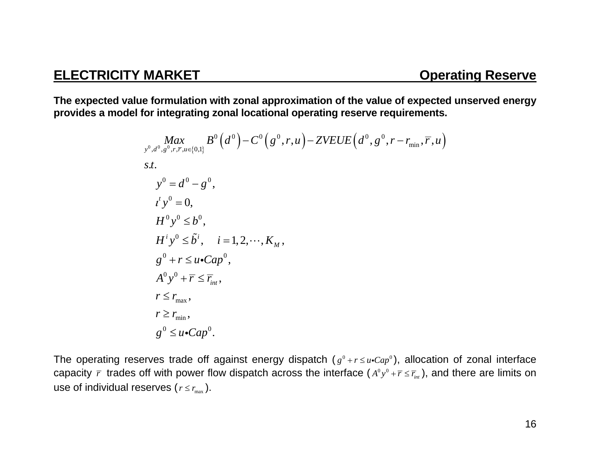**The expected value formulation with zonal approximation of the value of expected unserved energy provides a model for integrating zonal locational operating reserve requirements.** 

$$
\begin{aligned}\n\underset{\mathbf{y}^{0},d^{0},\mathbf{g}^{0},r,\overline{r},u\in\{0,1\}}{\text{Max}} & B^{0}\left(d^{0}\right)-C^{0}\left(\mathbf{g}^{0},r,u\right)-ZVEUE\left(d^{0},\mathbf{g}^{0},r-r_{\min},\overline{r},u\right) \\
\text{s.t.} \\
\mathbf{y}^{0} &=d^{0}-\mathbf{g}^{0}, \\
\quad t^{i}\mathbf{y}^{0} &=0, \\
H^{0}\mathbf{y}^{0} &\leq b^{0}, \\
H^{i}\mathbf{y}^{0} &\leq \tilde{b}^{i}, \quad i=1,2,\cdots,K_{M}, \\
\mathbf{g}^{0} &+r \leq u \cdot \text{Cap}^{0}, \\
A^{0}\mathbf{y}^{0} &+\overline{r} \leq \overline{r}_{\text{int}}, \\
r \leq r_{\text{max}}, \\
r \geq r_{\text{min}}, \\
\mathbf{g}^{0} &\leq u \cdot \text{Cap}^{0}.\n\end{aligned}
$$

The operating reserves trade off against energy dispatch  $(g^0 + r \le u \cdot Cap^0)$ , allocation of zonal interface capacity  $\bar{r}$  trades off with power flow dispatch across the interface  $(A^0y^0+\bar{r}\leq \bar{r}_{_{int}})$ , and there are limits on use of individual reserves (  $r$   $\le$   $r_{\rm max}$  ).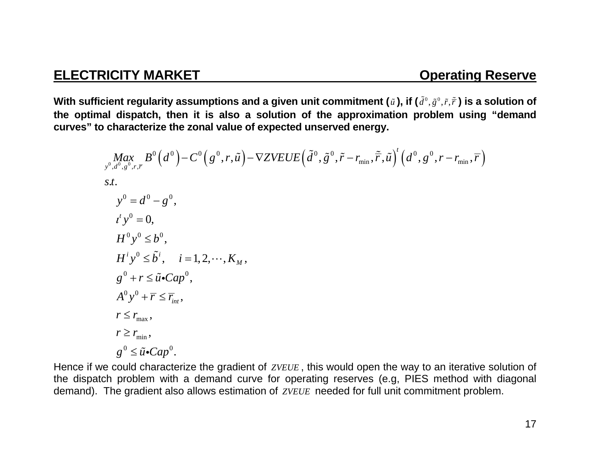$g^{0} \leq \tilde{u}$ •Cap<sup>0</sup>.

With sufficient regularity assumptions and a given unit commitment ( $\tilde{u}$  ), if ( $\tilde{d}^0, \tilde{g}^0, \tilde{r}, \tilde{\bar{r}}$  ) is a solution of **the optimal dispatch, then it is also a solution of the approximation problem using "demand curves" to characterize the zonal value of expected unserved energy.** 

$$
Max_{y^0,d^0,g^0,r,\overline{r}} B^0(d^0) - C^0(g^0,r,\tilde{u}) - \nabla ZVEUE\left(\tilde{d}^0,\tilde{g}^0,\tilde{r} - r_{\min},\tilde{r},\tilde{u}\right)^t \left(d^0,g^0,r - r_{\min},\overline{r}\right)
$$
  
s.t.  
\n
$$
y^0 = d^0 - g^0,
$$
  
\n
$$
t'y^0 = 0,
$$
  
\n
$$
H^0 y^0 \leq b^0,
$$
  
\n
$$
H^i y^0 \leq \tilde{b}^i, \quad i = 1, 2, \dots, K_M,
$$
  
\n
$$
g^0 + r \leq \tilde{u} \cdot Cap^0,
$$
  
\n
$$
A^0 y^0 + \overline{r} \leq \overline{r}_{\min},
$$
  
\n
$$
r \geq r_{\min},
$$
  
\n
$$
r \geq r_{\min},
$$

Hence if we could characterize the gradient of *ZVEUE* , this would open the way to an iterative solution of the dispatch problem with a demand curve for operating reserves (e.g, PIES method with diagonal demand). The gradient also allows estimation of *ZVEUE* needed for full unit commitment problem.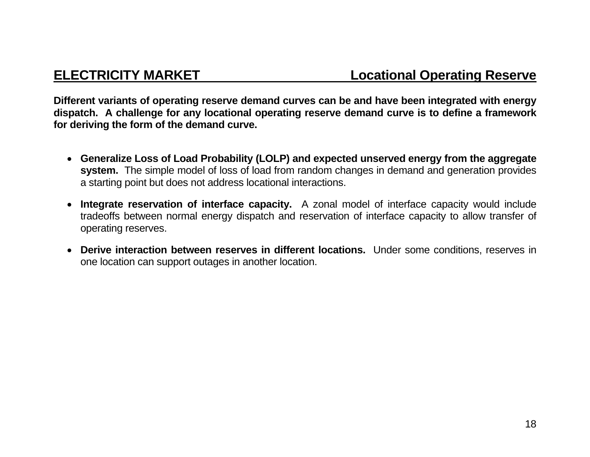**Different variants of operating reserve demand curves can be and have been integrated with energy dispatch. A challenge for any locational operating reserve demand curve is to define a framework for deriving the form of the demand curve.** 

- **Generalize Loss of Load Probability (LOLP) and expected unserved energy from the aggregate system.** The simple model of loss of load from random changes in demand and generation provides a starting point but does not address locational interactions.
- **Integrate reservation of interface capacity.** A zonal model of interface capacity would include tradeoffs between normal energy dispatch and reservation of interface capacity to allow transfer of operating reserves.
- **Derive interaction between reserves in different locations.** Under some conditions, reserves in one location can support outages in another location.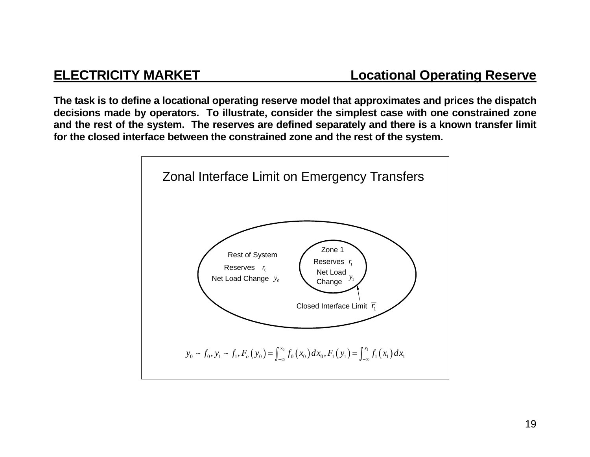**The task is to define a locational operating reserve model that approximates and prices the dispatch decisions made by operators. To illustrate, consider the simplest case with one constrained zone and the rest of the system. The reserves are defined separately and there is a known transfer limit for the closed interface between the constrained zone and the rest of the system.** 

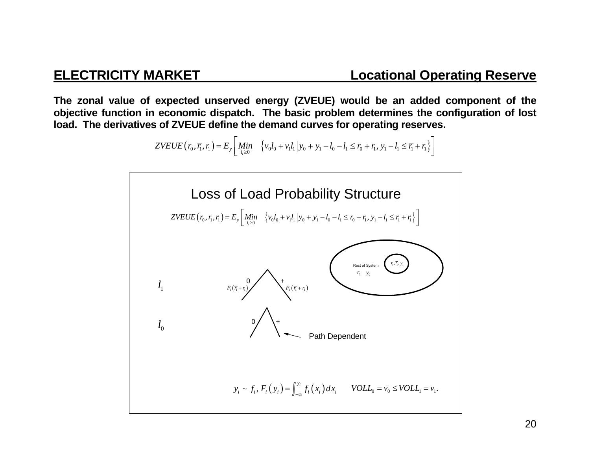**The zonal value of expected unserved energy (ZVEUE) would be an added component of the objective function in economic dispatch. The basic problem determines the configuration of lost load. The derivatives of ZVEUE define the demand curves for operating reserves.** 

$$
ZVEUE(r_0, \overline{r_1}, r_1) = E_y \left[ \underset{l_i \ge 0}{Min} \left\{ v_0 l_0 + v_1 l_1 \middle| y_0 + y_1 - l_0 - l_1 \le r_0 + r_1, y_1 - l_1 \le \overline{r_1} + r_1 \right\} \right]
$$

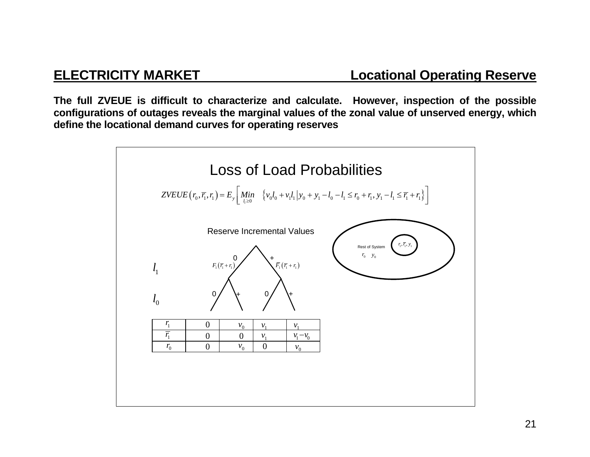**The full ZVEUE is difficult to characterize and calculate. However, inspection of the possible configurations of outages reveals the marginal values of the zonal value of unserved energy, which define the locational demand curves for operating reserves** 

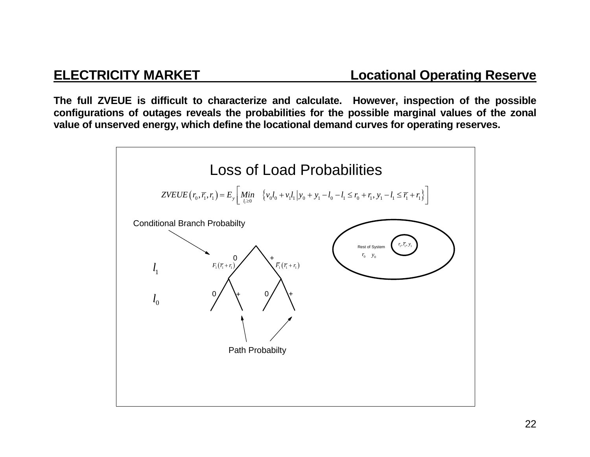**The full ZVEUE is difficult to characterize and calculate. However, inspection of the possible configurations of outages reveals the probabilities for the possible marginal values of the zonal value of unserved energy, which define the locational demand curves for operating reserves.** 

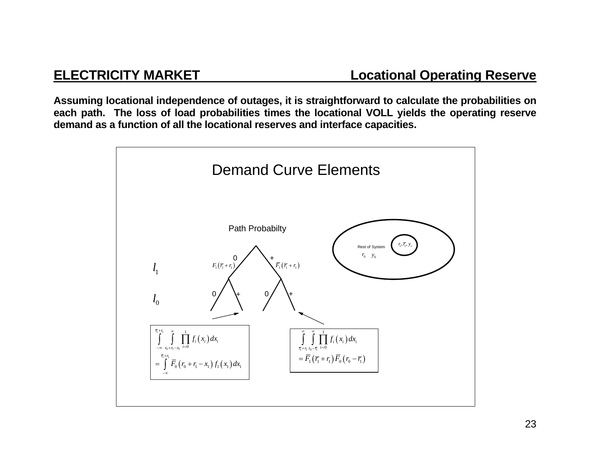**Assuming locational independence of outages, it is straightforward to calculate the probabilities on each path. The loss of load probabilities times the locational VOLL yields the operating reserve demand as a function of all the locational reserves and interface capacities.** 

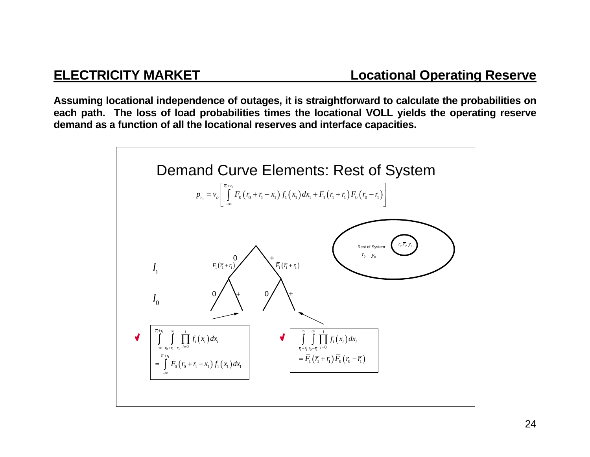**Assuming locational independence of outages, it is straightforward to calculate the probabilities on each path. The loss of load probabilities times the locational VOLL yields the operating reserve demand as a function of all the locational reserves and interface capacities.** 

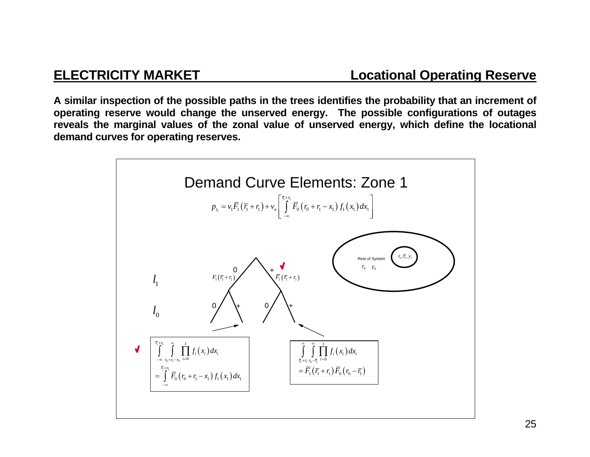**A similar inspection of the possible paths in the trees identifies the probability that an increment of operating reserve would change the unserved energy. The possible configurations of outages reveals the marginal values of the zonal value of unserved energy, which define the locational demand curves for operating reserves.** 

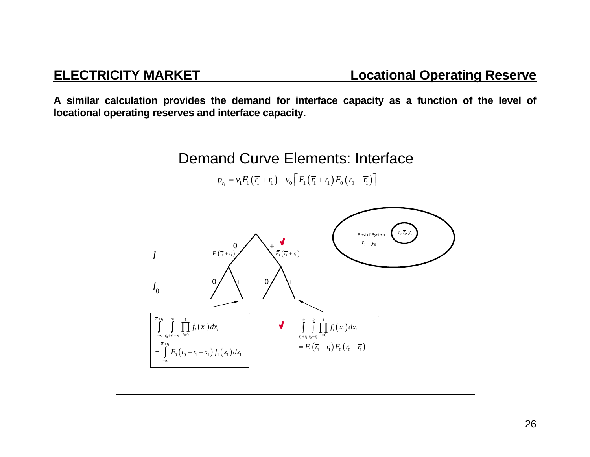**A similar calculation provides the demand for interface capacity as a function of the level of locational operating reserves and interface capacity.** 

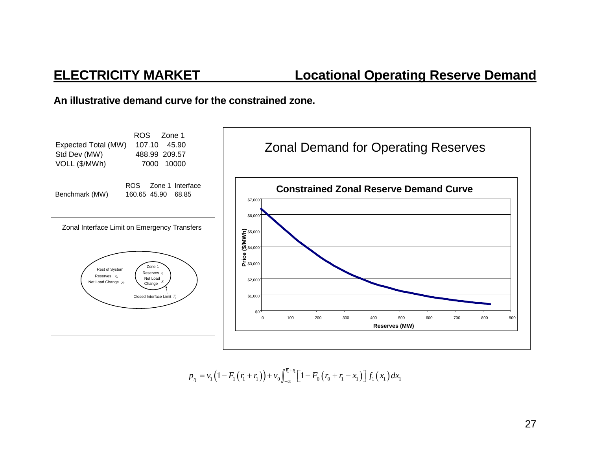### **An illustrative demand curve for the constrained zone.**



$$
p_{r_1} = v_1 \left(1 - F_1 \left(\overline{r_1} + r_1\right)\right) + v_0 \int_{-\infty}^{\overline{r_1} + r_1} \left[1 - F_0 \left(r_0 + r_1 - x_1\right)\right] f_1 \left(x_1\right) dx_1
$$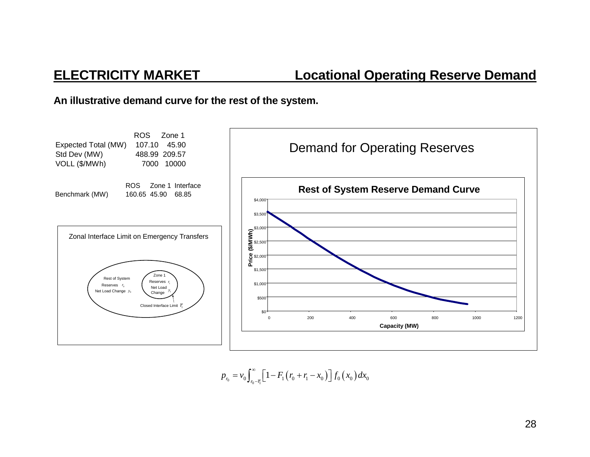### **An illustrative demand curve for the rest of the system.**



$$
p_{r_0} = v_0 \int_{r_0 - \bar{r}_1}^{\infty} \left[1 - F_1(r_0 + r_1 - x_0)\right] f_0(x_0) dx_0
$$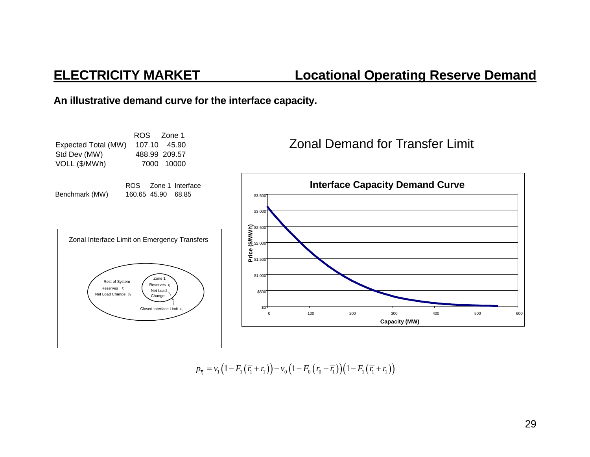**An illustrative demand curve for the interface capacity.** 



 $p_{\overline{\tau_1}} = v_1\left(1 - F_1\left(\overline{r_1} + r_1\right)\right) - v_0\left(1 - F_0\left(r_0 - \overline{r_1}\right)\right)\left(1 - F_1\left(\overline{r_1} + r_1\right)\right)$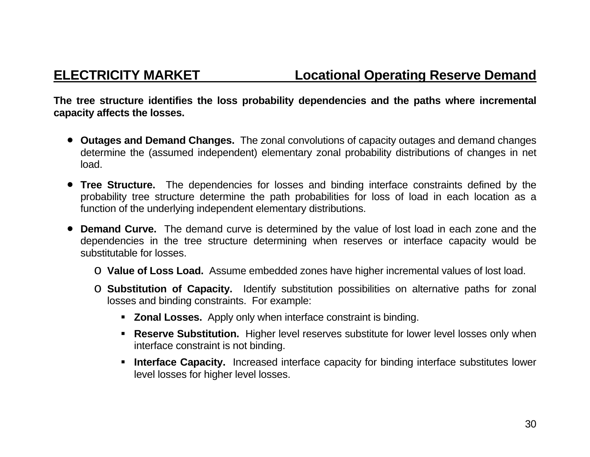**The tree structure identifies the loss probability dependencies and the paths where incremental capacity affects the losses.** 

- **Outages and Demand Changes.** The zonal convolutions of capacity outages and demand changes determine the (assumed independent) elementary zonal probability distributions of changes in net load.
- **Tree Structure.** The dependencies for losses and binding interface constraints defined by the probability tree structure determine the path probabilities for loss of load in each location as a function of the underlying independent elementary distributions.
- **Demand Curve.** The demand curve is determined by the value of lost load in each zone and the dependencies in the tree structure determining when reserves or interface capacity would be substitutable for losses.
	- o **Value of Loss Load.** Assume embedded zones have higher incremental values of lost load.
	- o **Substitution of Capacity.** Identify substitution possibilities on alternative paths for zonal losses and binding constraints. For example:
		- **Zonal Losses.** Apply only when interface constraint is binding.
		- **Reserve Substitution.** Higher level reserves substitute for lower level losses only when interface constraint is not binding.
		- **Interface Capacity.** Increased interface capacity for binding interface substitutes lower level losses for higher level losses.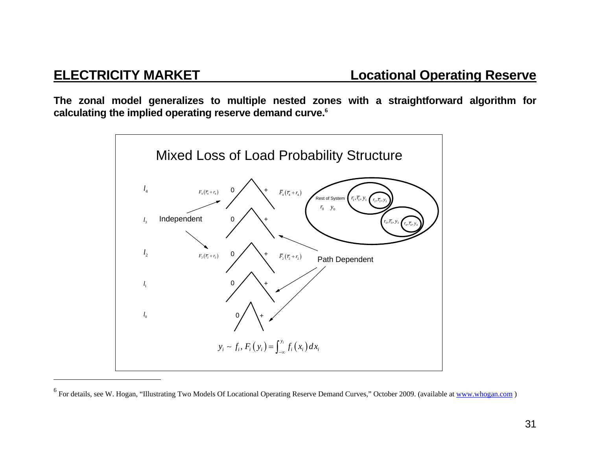**The zonal model generalizes to multiple nested zones with a straightforward algorithm for calculating the implied operating reserve demand curve.<sup>6</sup>**



<sup>&</sup>lt;sup>6</sup> For details, see W. Hogan, "Illustrating Two Models Of Locational Operating Reserve Demand Curves," October 2009. (available at www.whogan.com)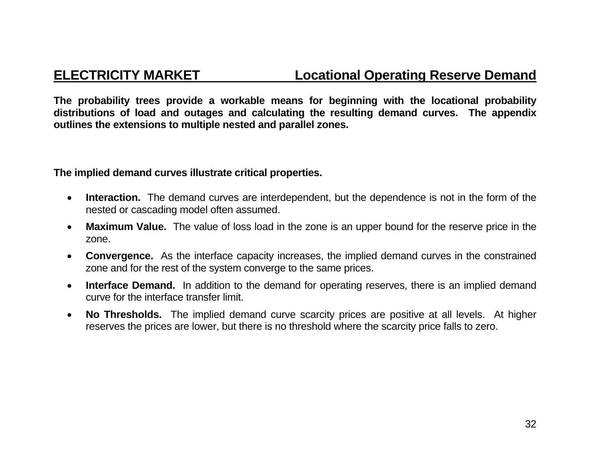**The probability trees provide a workable means for beginning with the locational probability distributions of load and outages and calculating the resulting demand curves. The appendix outlines the extensions to multiple nested and parallel zones.** 

### **The implied demand curves illustrate critical properties.**

- $\bullet$  **Interaction.** The demand curves are interdependent, but the dependence is not in the form of the nested or cascading model often assumed.
- $\bullet$  **Maximum Value.** The value of loss load in the zone is an upper bound for the reserve price in the zone.
- $\bullet$  **Convergence.** As the interface capacity increases, the implied demand curves in the constrained zone and for the rest of the system converge to the same prices.
- $\bullet$ **Interface Demand.** In addition to the demand for operating reserves, there is an implied demand curve for the interface transfer limit.
- $\bullet$  **No Thresholds.** The implied demand curve scarcity prices are positive at all levels. At higher reserves the prices are lower, but there is no threshold where the scarcity price falls to zero.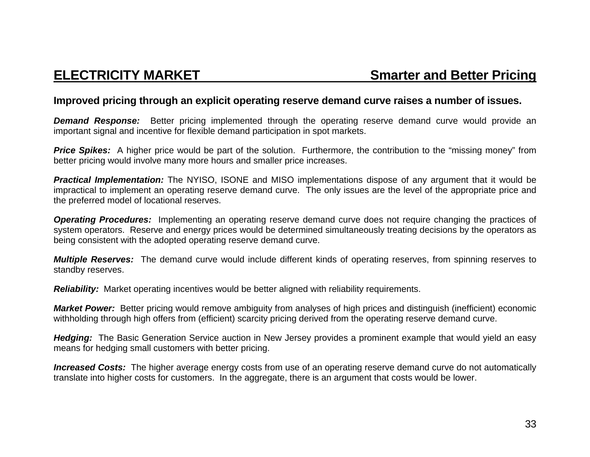### **Improved pricing through an explicit operating reserve demand curve raises a number of issues.**

**Demand Response:** Better pricing implemented through the operating reserve demand curve would provide an important signal and incentive for flexible demand participation in spot markets.

**Price Spikes:** A higher price would be part of the solution. Furthermore, the contribution to the "missing money" from better pricing would involve many more hours and smaller price increases.

*Practical Implementation:* The NYISO, ISONE and MISO implementations dispose of any argument that it would be impractical to implement an operating reserve demand curve. The only issues are the level of the appropriate price and the preferred model of locational reserves.

*Operating Procedures:* Implementing an operating reserve demand curve does not require changing the practices of system operators. Reserve and energy prices would be determined simultaneously treating decisions by the operators as being consistent with the adopted operating reserve demand curve.

*Multiple Reserves:* The demand curve would include different kinds of operating reserves, from spinning reserves to standby reserves.

*Reliability:* Market operating incentives would be better aligned with reliability requirements.

*Market Power:* Better pricing would remove ambiguity from analyses of high prices and distinguish (inefficient) economic withholding through high offers from (efficient) scarcity pricing derived from the operating reserve demand curve.

*Hedging:* The Basic Generation Service auction in New Jersey provides a prominent example that would yield an easy means for hedging small customers with better pricing.

*Increased Costs:* The higher average energy costs from use of an operating reserve demand curve do not automatically translate into higher costs for customers. In the aggregate, there is an argument that costs would be lower.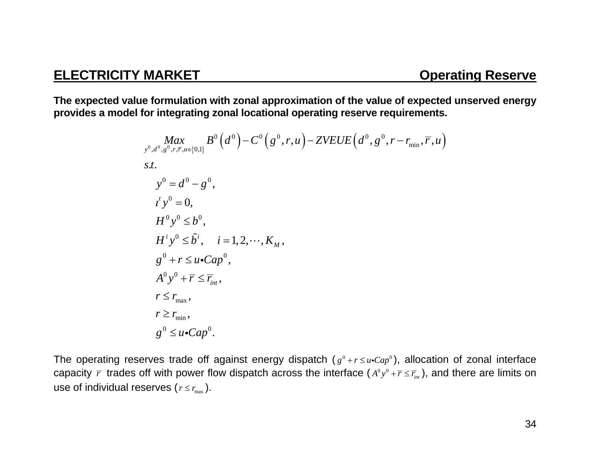**The expected value formulation with zonal approximation of the value of expected unserved energy provides a model for integrating zonal locational operating reserve requirements.** 

$$
\begin{aligned}\n\max_{y^0, d^0, g^0, r, \overline{r}, u \in \{0, 1\}} B^0(d^0) - C^0(g^0, r, u) - ZVEUE\left(d^0, g^0, r - r_{\min}, \overline{r}, u\right) \\
s.t. \\
y^0 &= d^0 - g^0, \\
t^t y^0 &= 0, \\
H^0 y^0 \leq b^0, \\
H^i y^0 \leq \tilde{b}^i, \quad i = 1, 2, \cdots, K_M, \\
g^0 + r \leq u \cdot Cap^0, \\
A^0 y^0 + \overline{r} \leq \overline{r}_{int}, \\
r \leq r_{max}, \\
r \geq r_{min}, \\
g^0 \leq u \cdot Cap^0.\n\end{aligned}
$$

The operating reserves trade off against energy dispatch  $(g^0 + r \le u \cdot Cap^0)$ , allocation of zonal interface capacity  $\bar{r}$  trades off with power flow dispatch across the interface  $(A^0y^0+\bar{r}\leq \bar{r}_{_{int}})$ , and there are limits on use of individual reserves (  $r$   $\le$   $r_{\rm max}$  ).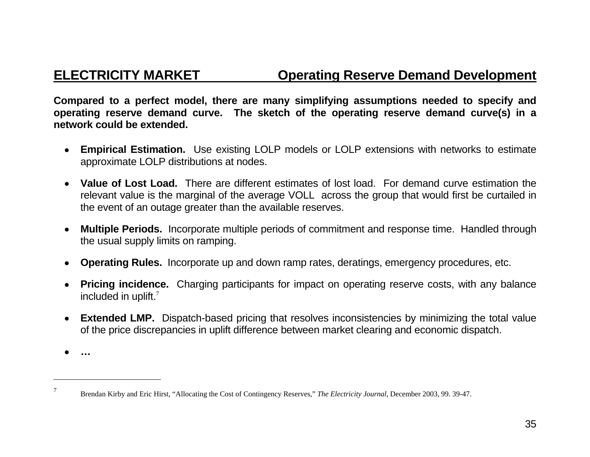## **ELECTRICITY MARKET Operating Reserve Demand Development**

**Compared to a perfect model, there are many simplifying assumptions needed to specify and operating reserve demand curve. The sketch of the operating reserve demand curve(s) in a network could be extended.** 

- • **Empirical Estimation.** Use existing LOLP models or LOLP extensions with networks to estimate approximate LOLP distributions at nodes.
- • **Value of Lost Load.** There are different estimates of lost load. For demand curve estimation the relevant value is the marginal of the average VOLL across the group that would first be curtailed in the event of an outage greater than the available reserves.
- • **Multiple Periods.** Incorporate multiple periods of commitment and response time. Handled through the usual supply limits on ramping.
- • **Operating Rules.** Incorporate up and down ramp rates, deratings, emergency procedures, etc.
- • **Pricing incidence.** Charging participants for impact on operating reserve costs, with any balance included in uplift.<sup>7</sup>
- **Extended LMP.** Dispatch-based pricing that resolves inconsistencies by minimizing the total value of the price discrepancies in uplift difference between market clearing and economic dispatch.

• **…** 

<sup>7</sup> Brendan Kirby and Eric Hirst, "Allocating the Cost of Contingency Reserves," *The Electricity Journal*, December 2003, 99. 39-47.